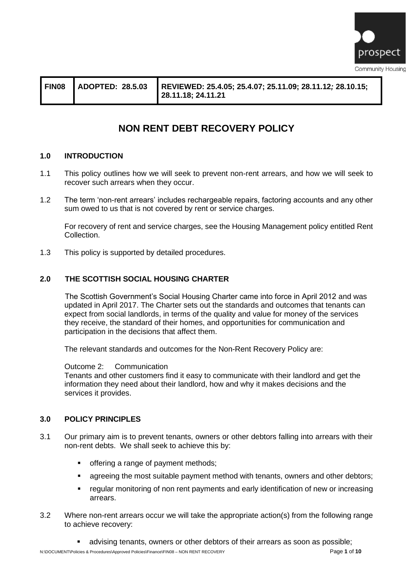

| FIN08 | <b>ADOPTED: 28.5.03</b> | REVIEWED: 25.4.05; 25.4.07; 25.11.09; 28.11.12; 28.10.15;<br>  28.11.18; 24.11.21 |
|-------|-------------------------|-----------------------------------------------------------------------------------|
|       |                         |                                                                                   |

# **NON RENT DEBT RECOVERY POLICY**

#### **1.0 INTRODUCTION**

- 1.1 This policy outlines how we will seek to prevent non-rent arrears, and how we will seek to recover such arrears when they occur.
- 1.2 The term 'non-rent arrears' includes rechargeable repairs, factoring accounts and any other sum owed to us that is not covered by rent or service charges.

For recovery of rent and service charges, see the Housing Management policy entitled Rent Collection.

1.3 This policy is supported by detailed procedures.

#### **2.0 THE SCOTTISH SOCIAL HOUSING CHARTER**

The Scottish Government's Social Housing Charter came into force in April 2012 and was updated in April 2017. The Charter sets out the standards and outcomes that tenants can expect from social landlords, in terms of the quality and value for money of the services they receive, the standard of their homes, and opportunities for communication and participation in the decisions that affect them.

The relevant standards and outcomes for the Non-Rent Recovery Policy are:

#### Outcome 2: Communication

Tenants and other customers find it easy to communicate with their landlord and get the information they need about their landlord, how and why it makes decisions and the services it provides.

#### **3.0 POLICY PRINCIPLES**

- 3.1 Our primary aim is to prevent tenants, owners or other debtors falling into arrears with their non-rent debts. We shall seek to achieve this by:
	- offering a range of payment methods;
	- agreeing the most suitable payment method with tenants, owners and other debtors;
	- regular monitoring of non rent payments and early identification of new or increasing arrears.
- 3.2 Where non-rent arrears occur we will take the appropriate action(s) from the following range to achieve recovery:
	- **EXEDED FE** advising tenants, owners or other debtors of their arrears as soon as possible;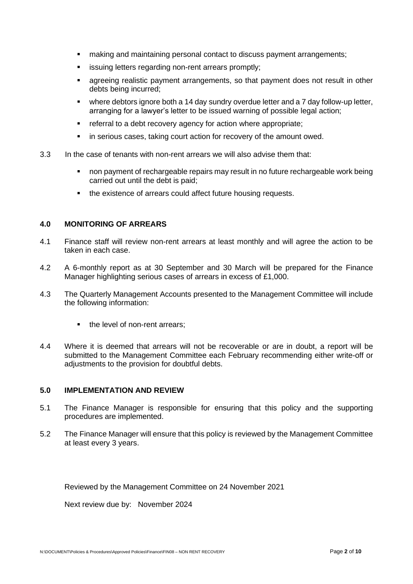- making and maintaining personal contact to discuss payment arrangements;
- **EXE** issuing letters regarding non-rent arrears promptly;
- agreeing realistic payment arrangements, so that payment does not result in other debts being incurred;
- where debtors ignore both a 14 day sundry overdue letter and a 7 day follow-up letter, arranging for a lawyer's letter to be issued warning of possible legal action;
- referral to a debt recovery agency for action where appropriate;
- in serious cases, taking court action for recovery of the amount owed.
- 3.3 In the case of tenants with non-rent arrears we will also advise them that:
	- non payment of rechargeable repairs may result in no future rechargeable work being carried out until the debt is paid;
	- the existence of arrears could affect future housing requests.

#### **4.0 MONITORING OF ARREARS**

- 4.1 Finance staff will review non-rent arrears at least monthly and will agree the action to be taken in each case.
- 4.2 A 6-monthly report as at 30 September and 30 March will be prepared for the Finance Manager highlighting serious cases of arrears in excess of £1,000.
- 4.3 The Quarterly Management Accounts presented to the Management Committee will include the following information:
	- the level of non-rent arrears:
- 4.4 Where it is deemed that arrears will not be recoverable or are in doubt, a report will be submitted to the Management Committee each February recommending either write-off or adjustments to the provision for doubtful debts.

#### **5.0 IMPLEMENTATION AND REVIEW**

- 5.1 The Finance Manager is responsible for ensuring that this policy and the supporting procedures are implemented.
- 5.2 The Finance Manager will ensure that this policy is reviewed by the Management Committee at least every 3 years.

Reviewed by the Management Committee on 24 November 2021

Next review due by: November 2024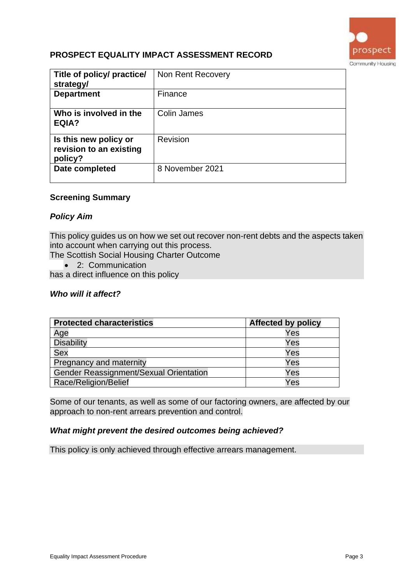

# **PROSPECT EQUALITY IMPACT ASSESSMENT RECORD**

| Title of policy/ practice/<br>strategy/                     | Non Rent Recovery |
|-------------------------------------------------------------|-------------------|
| <b>Department</b>                                           | Finance           |
| Who is involved in the<br>EQIA?                             | Colin James       |
| Is this new policy or<br>revision to an existing<br>policy? | Revision          |
| Date completed                                              | 8 November 2021   |

#### **Screening Summary**

#### *Policy Aim*

This policy guides us on how we set out recover non-rent debts and the aspects taken into account when carrying out this process.

The Scottish Social Housing Charter Outcome

• 2: Communication

has a direct influence on this policy

#### *Who will it affect?*

| <b>Protected characteristics</b>       | <b>Affected by policy</b> |
|----------------------------------------|---------------------------|
| Age                                    | Yes                       |
| <b>Disability</b>                      | Yes                       |
| <b>Sex</b>                             | Yes                       |
| Pregnancy and maternity                | Yes                       |
| Gender Reassignment/Sexual Orientation | Yes                       |
| Race/Religion/Belief                   | Yes                       |

Some of our tenants, as well as some of our factoring owners, are affected by our approach to non-rent arrears prevention and control.

#### *What might prevent the desired outcomes being achieved?*

This policy is only achieved through effective arrears management.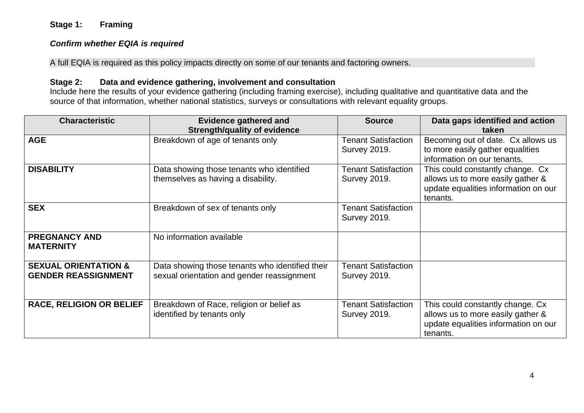## **Stage 1: Framing**

#### *Confirm whether EQIA is required*

A full EQIA is required as this policy impacts directly on some of our tenants and factoring owners.

#### **Stage 2: Data and evidence gathering, involvement and consultation**

Include here the results of your evidence gathering (including framing exercise), including qualitative and quantitative data and the source of that information, whether national statistics, surveys or consultations with relevant equality groups.

| <b>Characteristic</b>                                         | <b>Evidence gathered and</b>                                                                  | <b>Source</b>                                     | Data gaps identified and action                                                                                           |
|---------------------------------------------------------------|-----------------------------------------------------------------------------------------------|---------------------------------------------------|---------------------------------------------------------------------------------------------------------------------------|
|                                                               | <b>Strength/quality of evidence</b>                                                           |                                                   | taken                                                                                                                     |
| <b>AGE</b>                                                    | Breakdown of age of tenants only                                                              | <b>Tenant Satisfaction</b><br><b>Survey 2019.</b> | Becoming out of date. Cx allows us<br>to more easily gather equalities<br>information on our tenants.                     |
| <b>DISABILITY</b>                                             | Data showing those tenants who identified<br>themselves as having a disability.               | <b>Tenant Satisfaction</b><br><b>Survey 2019.</b> | This could constantly change. Cx<br>allows us to more easily gather &<br>update equalities information on our<br>tenants. |
| <b>SEX</b>                                                    | Breakdown of sex of tenants only                                                              | <b>Tenant Satisfaction</b><br><b>Survey 2019.</b> |                                                                                                                           |
| <b>PREGNANCY AND</b><br><b>MATERNITY</b>                      | No information available                                                                      |                                                   |                                                                                                                           |
| <b>SEXUAL ORIENTATION &amp;</b><br><b>GENDER REASSIGNMENT</b> | Data showing those tenants who identified their<br>sexual orientation and gender reassignment | <b>Tenant Satisfaction</b><br><b>Survey 2019.</b> |                                                                                                                           |
| <b>RACE, RELIGION OR BELIEF</b>                               | Breakdown of Race, religion or belief as<br>identified by tenants only                        | <b>Tenant Satisfaction</b><br><b>Survey 2019.</b> | This could constantly change. Cx<br>allows us to more easily gather &<br>update equalities information on our<br>tenants. |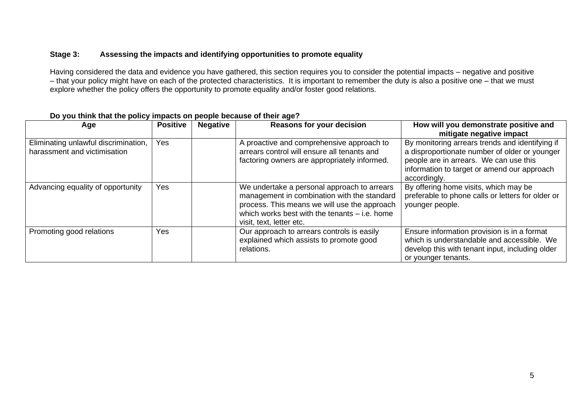#### **Stage 3: Assessing the impacts and identifying opportunities to promote equality**

Having considered the data and evidence you have gathered, this section requires you to consider the potential impacts – negative and positive – that your policy might have on each of the protected characteristics. It is important to remember the duty is also a positive one – that we must explore whether the policy offers the opportunity to promote equality and/or foster good relations.

| Age                                                                  | <b>Positive</b> | <b>Negative</b> | <b>Reasons for your decision</b>                                                                                                                                                                                          | How will you demonstrate positive and<br>mitigate negative impact                                                                                                                                         |
|----------------------------------------------------------------------|-----------------|-----------------|---------------------------------------------------------------------------------------------------------------------------------------------------------------------------------------------------------------------------|-----------------------------------------------------------------------------------------------------------------------------------------------------------------------------------------------------------|
| Eliminating unlawful discrimination,<br>harassment and victimisation | Yes             |                 | A proactive and comprehensive approach to<br>arrears control will ensure all tenants and<br>factoring owners are appropriately informed.                                                                                  | By monitoring arrears trends and identifying if<br>a disproportionate number of older or younger<br>people are in arrears. We can use this<br>information to target or amend our approach<br>accordingly. |
| Advancing equality of opportunity                                    | Yes             |                 | We undertake a personal approach to arrears<br>management in combination with the standard<br>process. This means we will use the approach<br>which works best with the tenants $-$ i.e. home<br>visit, text, letter etc. | By offering home visits, which may be<br>preferable to phone calls or letters for older or<br>younger people.                                                                                             |
| Promoting good relations                                             | Yes             |                 | Our approach to arrears controls is easily<br>explained which assists to promote good<br>relations.                                                                                                                       | Ensure information provision is in a format<br>which is understandable and accessible. We<br>develop this with tenant input, including older<br>or younger tenants.                                       |

## **Do you think that the policy impacts on people because of their age?**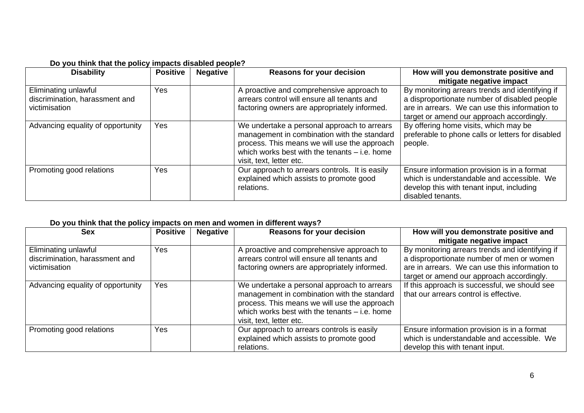|  | Do you think that the policy impacts disabled people? |  |
|--|-------------------------------------------------------|--|
|--|-------------------------------------------------------|--|

| <b>Disability</b>                                                       | <b>Positive</b> | <b>Negative</b> | <b>Reasons for your decision</b>                                                                                                                                                                                          | How will you demonstrate positive and<br>mitigate negative impact                                                                                                                              |
|-------------------------------------------------------------------------|-----------------|-----------------|---------------------------------------------------------------------------------------------------------------------------------------------------------------------------------------------------------------------------|------------------------------------------------------------------------------------------------------------------------------------------------------------------------------------------------|
| Eliminating unlawful<br>discrimination, harassment and<br>victimisation | Yes             |                 | A proactive and comprehensive approach to<br>arrears control will ensure all tenants and<br>factoring owners are appropriately informed.                                                                                  | By monitoring arrears trends and identifying if<br>a disproportionate number of disabled people<br>are in arrears. We can use this information to<br>target or amend our approach accordingly. |
| Advancing equality of opportunity                                       | Yes             |                 | We undertake a personal approach to arrears<br>management in combination with the standard<br>process. This means we will use the approach<br>which works best with the tenants $-$ i.e. home<br>visit, text, letter etc. | By offering home visits, which may be<br>preferable to phone calls or letters for disabled<br>people.                                                                                          |
| Promoting good relations                                                | Yes             |                 | Our approach to arrears controls. It is easily<br>explained which assists to promote good<br>relations.                                                                                                                   | Ensure information provision is in a format<br>which is understandable and accessible. We<br>develop this with tenant input, including<br>disabled tenants.                                    |

## **Do you think that the policy impacts on men and women in different ways?**

| <b>Sex</b>                                                              | <b>Positive</b> | <b>Negative</b> | <b>Reasons for your decision</b>                                                                                                                                                                                          | How will you demonstrate positive and<br>mitigate negative impact                                                                                                                           |
|-------------------------------------------------------------------------|-----------------|-----------------|---------------------------------------------------------------------------------------------------------------------------------------------------------------------------------------------------------------------------|---------------------------------------------------------------------------------------------------------------------------------------------------------------------------------------------|
| Eliminating unlawful<br>discrimination, harassment and<br>victimisation | Yes             |                 | A proactive and comprehensive approach to<br>arrears control will ensure all tenants and<br>factoring owners are appropriately informed.                                                                                  | By monitoring arrears trends and identifying if<br>a disproportionate number of men or women<br>are in arrears. We can use this information to<br>target or amend our approach accordingly. |
| Advancing equality of opportunity                                       | Yes             |                 | We undertake a personal approach to arrears<br>management in combination with the standard<br>process. This means we will use the approach<br>which works best with the tenants $-$ i.e. home<br>visit, text, letter etc. | If this approach is successful, we should see<br>that our arrears control is effective.                                                                                                     |
| Promoting good relations                                                | <b>Yes</b>      |                 | Our approach to arrears controls is easily<br>explained which assists to promote good<br>relations.                                                                                                                       | Ensure information provision is in a format<br>which is understandable and accessible. We<br>develop this with tenant input.                                                                |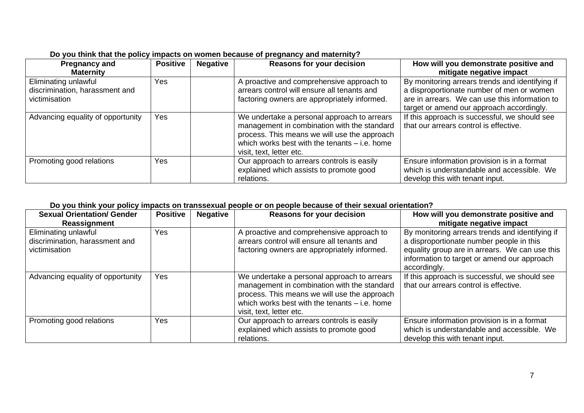| <b>Pregnancy and</b><br><b>Maternity</b>                                | <b>Positive</b> | <b>Negative</b> | <b>Reasons for your decision</b>                                                                                                                                                                                          | How will you demonstrate positive and<br>mitigate negative impact                                                                                                                           |
|-------------------------------------------------------------------------|-----------------|-----------------|---------------------------------------------------------------------------------------------------------------------------------------------------------------------------------------------------------------------------|---------------------------------------------------------------------------------------------------------------------------------------------------------------------------------------------|
| Eliminating unlawful<br>discrimination, harassment and<br>victimisation | Yes             |                 | A proactive and comprehensive approach to<br>arrears control will ensure all tenants and<br>factoring owners are appropriately informed.                                                                                  | By monitoring arrears trends and identifying if<br>a disproportionate number of men or women<br>are in arrears. We can use this information to<br>target or amend our approach accordingly. |
| Advancing equality of opportunity                                       | Yes             |                 | We undertake a personal approach to arrears<br>management in combination with the standard<br>process. This means we will use the approach<br>which works best with the tenants $-$ i.e. home<br>visit, text, letter etc. | If this approach is successful, we should see<br>that our arrears control is effective.                                                                                                     |
| Promoting good relations                                                | Yes             |                 | Our approach to arrears controls is easily<br>explained which assists to promote good<br>relations.                                                                                                                       | Ensure information provision is in a format<br>which is understandable and accessible. We<br>develop this with tenant input.                                                                |

## **Do you think that the policy impacts on women because of pregnancy and maternity?**

## **Do you think your policy impacts on transsexual people or on people because of their sexual orientation?**

| <b>Sexual Orientation/ Gender</b><br>Reassignment                       | <b>Positive</b> | <b>Negative</b> | <b>Reasons for your decision</b>                                                                                                                                                                                          | How will you demonstrate positive and<br>mitigate negative impact                                                                                                                                            |
|-------------------------------------------------------------------------|-----------------|-----------------|---------------------------------------------------------------------------------------------------------------------------------------------------------------------------------------------------------------------------|--------------------------------------------------------------------------------------------------------------------------------------------------------------------------------------------------------------|
| Eliminating unlawful<br>discrimination, harassment and<br>victimisation | Yes             |                 | A proactive and comprehensive approach to<br>arrears control will ensure all tenants and<br>factoring owners are appropriately informed.                                                                                  | By monitoring arrears trends and identifying if<br>a disproportionate number people in this<br>equality group are in arrears. We can use this<br>information to target or amend our approach<br>accordingly. |
| Advancing equality of opportunity                                       | Yes             |                 | We undertake a personal approach to arrears<br>management in combination with the standard<br>process. This means we will use the approach<br>which works best with the tenants $-$ i.e. home<br>visit, text, letter etc. | If this approach is successful, we should see<br>that our arrears control is effective.                                                                                                                      |
| Promoting good relations                                                | Yes             |                 | Our approach to arrears controls is easily<br>explained which assists to promote good<br>relations.                                                                                                                       | Ensure information provision is in a format<br>which is understandable and accessible. We<br>develop this with tenant input.                                                                                 |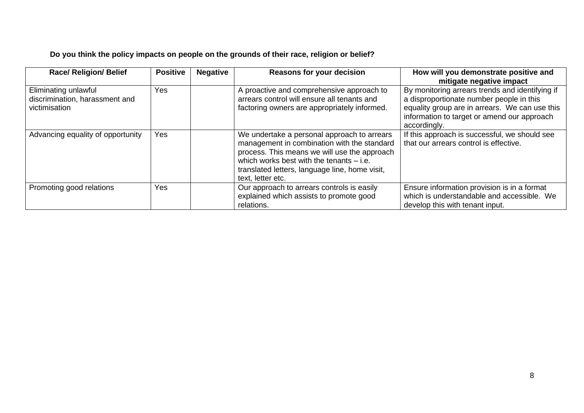# **Do you think the policy impacts on people on the grounds of their race, religion or belief?**

| <b>Race/ Religion/ Belief</b>                                           | <b>Positive</b> | <b>Negative</b> | <b>Reasons for your decision</b>                                                                                                                                                                                                                                | How will you demonstrate positive and<br>mitigate negative impact                                                                                                                                            |
|-------------------------------------------------------------------------|-----------------|-----------------|-----------------------------------------------------------------------------------------------------------------------------------------------------------------------------------------------------------------------------------------------------------------|--------------------------------------------------------------------------------------------------------------------------------------------------------------------------------------------------------------|
| Eliminating unlawful<br>discrimination, harassment and<br>victimisation | Yes             |                 | A proactive and comprehensive approach to<br>arrears control will ensure all tenants and<br>factoring owners are appropriately informed.                                                                                                                        | By monitoring arrears trends and identifying if<br>a disproportionate number people in this<br>equality group are in arrears. We can use this<br>information to target or amend our approach<br>accordingly. |
| Advancing equality of opportunity                                       | <b>Yes</b>      |                 | We undertake a personal approach to arrears<br>management in combination with the standard<br>process. This means we will use the approach<br>which works best with the tenants $-$ i.e.<br>translated letters, language line, home visit,<br>text, letter etc. | If this approach is successful, we should see<br>that our arrears control is effective.                                                                                                                      |
| Promoting good relations                                                | Yes             |                 | Our approach to arrears controls is easily<br>explained which assists to promote good<br>relations.                                                                                                                                                             | Ensure information provision is in a format<br>which is understandable and accessible. We<br>develop this with tenant input.                                                                                 |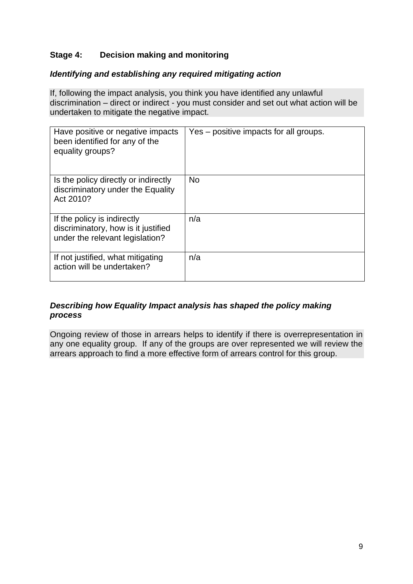# **Stage 4: Decision making and monitoring**

## *Identifying and establishing any required mitigating action*

If, following the impact analysis, you think you have identified any unlawful discrimination – direct or indirect - you must consider and set out what action will be undertaken to mitigate the negative impact.

| Have positive or negative impacts<br>been identified for any of the<br>equality groups?               | Yes – positive impacts for all groups. |
|-------------------------------------------------------------------------------------------------------|----------------------------------------|
| Is the policy directly or indirectly<br>discriminatory under the Equality<br>Act 2010?                | <b>No</b>                              |
| If the policy is indirectly<br>discriminatory, how is it justified<br>under the relevant legislation? | n/a                                    |
| If not justified, what mitigating<br>action will be undertaken?                                       | n/a                                    |

## *Describing how Equality Impact analysis has shaped the policy making process*

Ongoing review of those in arrears helps to identify if there is overrepresentation in any one equality group. If any of the groups are over represented we will review the arrears approach to find a more effective form of arrears control for this group.